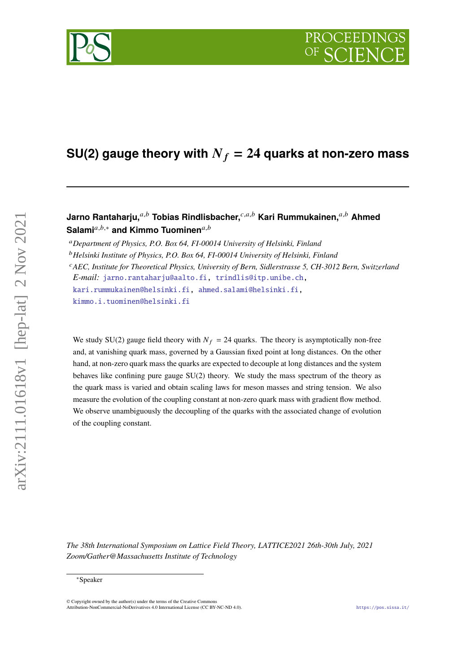

# **Jarno Rantaharju,** $a,b$  Tobias Rindlisbacher, $c,a,b$  Kari Rummukainen, $a,b$  Ahmed Salami<sup>a,b,∗</sup> and Kimmo Tuominen<sup>a,b</sup>

*Department of Physics, P.O. Box 64, FI-00014 University of Helsinki, Finland*

<sup>*CAEC, Institute for Theoretical Physics, University of Bern, Sidlerstrasse 5, CH-3012 Bern, Switzerland*</sup> *E-mail:* [jarno.rantaharju@aalto.fi,](mailto:jarno.rantaharju@aalto.fi) [trindlis@itp.unibe.ch,](mailto:trindlis@itp.unibe.ch)

[kari.rummukainen@helsinki.fi,](mailto:kari.rummukainen@helsinki.fi) [ahmed.salami@helsinki.fi,](mailto:ahmed.salami@helsinki.fi)

[kimmo.i.tuominen@helsinki.fi](mailto:kimmo.i.tuominen@helsinki.fi)

We study SU(2) gauge field theory with  $N_f = 24$  quarks. The theory is asymptotically non-free and, at vanishing quark mass, governed by a Gaussian fixed point at long distances. On the other hand, at non-zero quark mass the quarks are expected to decouple at long distances and the system behaves like confining pure gauge  $SU(2)$  theory. We study the mass spectrum of the theory as the quark mass is varied and obtain scaling laws for meson masses and string tension. We also measure the evolution of the coupling constant at non-zero quark mass with gradient flow method. We observe unambiguously the decoupling of the quarks with the associated change of evolution of the coupling constant.

*The 38th International Symposium on Lattice Field Theory, LATTICE2021 26th-30th July, 2021 Zoom/Gather@Massachusetts Institute of Technology*

*Helsinki Institute of Physics, P.O. Box 64, FI-00014 University of Helsinki, Finland*

<sup>∗</sup>Speaker

<sup>©</sup> Copyright owned by the author(s) under the terms of the Creative Commons Attribution-NonCommercial-NoDerivatives 4.0 International License (CC BY-NC-ND 4.0). <https://pos.sissa.it/>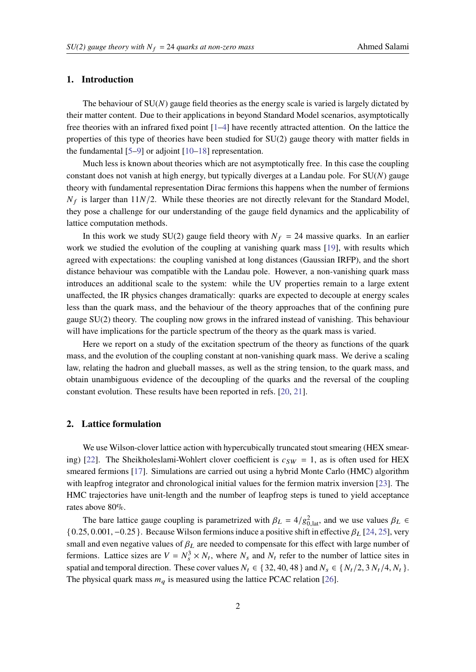#### **1. Introduction**

The behaviour of  $SU(N)$  gauge field theories as the energy scale is varied is largely dictated by their matter content. Due to their applications in beyond Standard Model scenarios, asymptotically free theories with an infrared fixed point [\[1–](#page-6-0)[4\]](#page-6-1) have recently attracted attention. On the lattice the properties of this type of theories have been studied for SU(2) gauge theory with matter fields in the fundamental  $[5-9]$  $[5-9]$  or adjoint  $[10-18]$  $[10-18]$  representation.

Much less is known about theories which are not asymptotically free. In this case the coupling constant does not vanish at high energy, but typically diverges at a Landau pole. For  $SU(N)$  gauge theory with fundamental representation Dirac fermions this happens when the number of fermions  $N_f$  is larger than 11 $N/2$ . While these theories are not directly relevant for the Standard Model, they pose a challenge for our understanding of the gauge field dynamics and the applicability of lattice computation methods.

In this work we study SU(2) gauge field theory with  $N_f = 24$  massive quarks. In an earlier work we studied the evolution of the coupling at vanishing quark mass [\[19\]](#page-7-2), with results which agreed with expectations: the coupling vanished at long distances (Gaussian IRFP), and the short distance behaviour was compatible with the Landau pole. However, a non-vanishing quark mass introduces an additional scale to the system: while the UV properties remain to a large extent unaffected, the IR physics changes dramatically: quarks are expected to decouple at energy scales less than the quark mass, and the behaviour of the theory approaches that of the confining pure gauge  $SU(2)$  theory. The coupling now grows in the infrared instead of vanishing. This behaviour will have implications for the particle spectrum of the theory as the quark mass is varied.

Here we report on a study of the excitation spectrum of the theory as functions of the quark mass, and the evolution of the coupling constant at non-vanishing quark mass. We derive a scaling law, relating the hadron and glueball masses, as well as the string tension, to the quark mass, and obtain unambiguous evidence of the decoupling of the quarks and the reversal of the coupling constant evolution. These results have been reported in refs. [\[20,](#page-7-3) [21\]](#page-7-4).

# <span id="page-1-0"></span>**2. Lattice formulation**

We use Wilson-clover lattice action with hypercubically truncated stout smearing (HEX smear-ing) [\[22\]](#page-7-5). The Sheikholeslami-Wohlert clover coefficient is  $c_{SW} = 1$ , as is often used for HEX smeared fermions [\[17\]](#page-7-6). Simulations are carried out using a hybrid Monte Carlo (HMC) algorithm with leapfrog integrator and chronological initial values for the fermion matrix inversion [\[23\]](#page-7-7). The HMC trajectories have unit-length and the number of leapfrog steps is tuned to yield acceptance rates above 80%.

The bare lattice gauge coupling is parametrized with  $\beta_L = 4/g_{0,lat}^2$ , and we use values  $\beta_L \in$  $\{0.25, 0.001, -0.25\}$ . Because Wilson fermions induce a positive shift in effective  $\beta_L$  [\[24,](#page-7-8) [25\]](#page-7-9), very small and even negative values of  $\beta_L$  are needed to compensate for this effect with large number of fermions. Lattice sizes are  $V = N_s^3 \times N_t$ , where  $N_s$  and  $N_t$  refer to the number of lattice sites in spatial and temporal direction. These cover values  $N_t \in \{32, 40, 48\}$  and  $N_s \in \{N_t/2, 3N_t/4, N_t\}$ . The physical quark mass  $m_q$  is measured using the lattice PCAC relation [\[26\]](#page-8-0).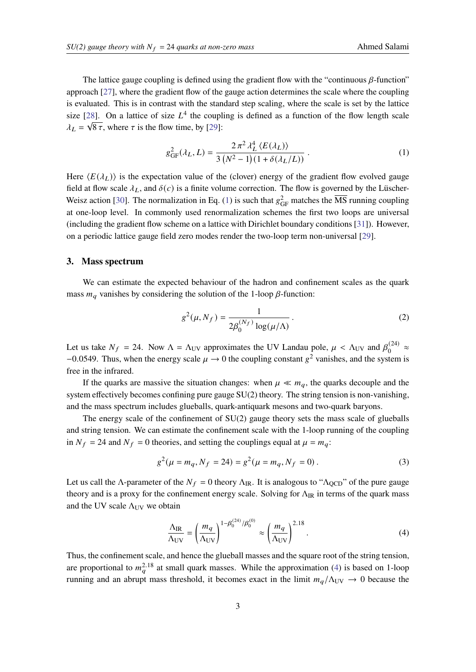The lattice gauge coupling is defined using the gradient flow with the "continuous  $\beta$ -function" approach [\[27\]](#page-8-1), where the gradient flow of the gauge action determines the scale where the coupling is evaluated. This is in contrast with the standard step scaling, where the scale is set by the lattice size [\[28\]](#page-8-2). On a lattice of size  $L^4$  the coupling is defined as a function of the flow length scale  $\lambda_L = \sqrt{8 \tau}$ , where  $\tau$  is the flow time, by [\[29\]](#page-8-3):

<span id="page-2-0"></span>
$$
g_{GF}^{2}(\lambda_{L}, L) = \frac{2 \pi^{2} \lambda_{L}^{4} \langle E(\lambda_{L}) \rangle}{3 (N^{2} - 1)(1 + \delta(\lambda_{L}/L))}.
$$
 (1)

Here  $\langle E(\lambda_L) \rangle$  is the expectation value of the (clover) energy of the gradient flow evolved gauge field at flow scale  $\lambda_L$ , and  $\delta(c)$  is a finite volume correction. The flow is governed by the Lüscher-Weisz action [\[30\]](#page-8-4). The normalization in Eq. [\(1\)](#page-2-0) is such that  $g_{GF}^2$  matches the  $\overline{\text{MS}}$  running coupling at one-loop level. In commonly used renormalization schemes the first two loops are universal (including the gradient flow scheme on a lattice with Dirichlet boundary conditions [\[31\]](#page-8-5)). However, on a periodic lattice gauge field zero modes render the two-loop term non-universal [\[29\]](#page-8-3).

#### **3. Mass spectrum**

We can estimate the expected behaviour of the hadron and confinement scales as the quark mass  $m_a$  vanishes by considering the solution of the 1-loop  $\beta$ -function:

$$
g^{2}(\mu, N_{f}) = \frac{1}{2\beta_{0}^{(N_{f})}\log(\mu/\Lambda)}.
$$
 (2)

Let us take  $N_f = 24$ . Now  $\Lambda = \Lambda_{UV}$  approximates the UV Landau pole,  $\mu < \Lambda_{UV}$  and  $\beta_0^{(24)}$  $\frac{1}{0}$ <sup>(24)</sup>  $\approx$  $-0.0549$ . Thus, when the energy scale  $\mu \rightarrow 0$  the coupling constant  $g^2$  vanishes, and the system is free in the infrared.

If the quarks are massive the situation changes: when  $\mu \ll m_q$ , the quarks decouple and the system effectively becomes confining pure gauge SU(2) theory. The string tension is non-vanishing, and the mass spectrum includes glueballs, quark-antiquark mesons and two-quark baryons.

The energy scale of the confinement of SU(2) gauge theory sets the mass scale of glueballs and string tension. We can estimate the confinement scale with the 1-loop running of the coupling in  $N_f = 24$  and  $N_f = 0$  theories, and setting the couplings equal at  $\mu = m_q$ .

$$
g^{2}(\mu = m_{q}, N_{f} = 24) = g^{2}(\mu = m_{q}, N_{f} = 0).
$$
 (3)

Let us call the Λ-parameter of the  $N_f = 0$  theory  $\Lambda_{\rm IR}$ . It is analogous to " $\Lambda_{\rm QCD}$ " of the pure gauge theory and is a proxy for the confinement energy scale. Solving for  $\Lambda_{IR}$  in terms of the quark mass and the UV scale  $\Lambda_{UV}$  we obtain

<span id="page-2-1"></span>
$$
\frac{\Lambda_{\rm IR}}{\Lambda_{\rm UV}} = \left(\frac{m_q}{\Lambda_{\rm UV}}\right)^{1-\beta_0^{(24)}/\beta_0^{(0)}} \approx \left(\frac{m_q}{\Lambda_{\rm UV}}\right)^{2.18}.\tag{4}
$$

Thus, the confinement scale, and hence the glueball masses and the square root of the string tension, are proportional to  $m_a^{2.18}$  at small quark masses. While the approximation [\(4\)](#page-2-1) is based on 1-loop running and an abrupt mass threshold, it becomes exact in the limit  $m_q/\Lambda_{UV} \rightarrow 0$  because the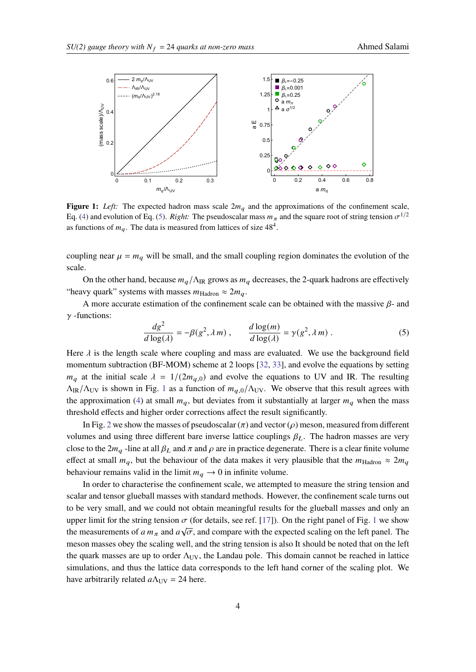<span id="page-3-1"></span>

**Figure 1:** Left: The expected hadron mass scale  $2m_q$  and the approximations of the confinement scale, Eq. [\(4\)](#page-2-1) and evolution of Eq. [\(5\)](#page-3-0). *Right:* The pseudoscalar mass  $m<sub>\pi</sub>$  and the square root of string tension  $\sigma^{1/2}$ as functions of  $m_q$ . The data is measured from lattices of size  $48^4$ .

coupling near  $\mu = m_q$  will be small, and the small coupling region dominates the evolution of the scale.

On the other hand, because  $m_a/\Lambda_{\rm IR}$  grows as  $m_a$  decreases, the 2-quark hadrons are effectively "heavy quark" systems with masses  $m_{\text{Hadron}} \approx 2m_q$ .

A more accurate estimation of the confinement scale can be obtained with the massive  $\beta$ - and  $\gamma$ -functions:

<span id="page-3-0"></span>
$$
\frac{dg^2}{d\log(\lambda)} = -\beta(g^2, \lambda m) , \qquad \frac{d\log(m)}{d\log(\lambda)} = \gamma(g^2, \lambda m) .
$$
 (5)

Here  $\lambda$  is the length scale where coupling and mass are evaluated. We use the background field momentum subtraction (BF-MOM) scheme at 2 loops [\[32,](#page-8-6) [33\]](#page-8-7), and evolve the equations by setting  $m_q$  at the initial scale  $\lambda = 1/(2m_{q,0})$  and evolve the equations to UV and IR. The resulting  $\Lambda_{IR}/\Lambda_{UV}$  is shown in Fig. [1](#page-3-1) as a function of  $m_{a,0}/\Lambda_{UV}$ . We observe that this result agrees with the approximation [\(4\)](#page-2-1) at small  $m_q$ , but deviates from it substantially at larger  $m_q$  when the mass threshold effects and higher order corrections affect the result significantly.

In Fig. [2](#page-4-0) we show the masses of pseudoscalar  $(\pi)$  and vector ( $\rho$ ) meson, measured from different volumes and using three different bare inverse lattice couplings  $\beta_L$ . The hadron masses are very close to the  $2m_q$ -line at all  $\beta_L$  and  $\pi$  and  $\rho$  are in practice degenerate. There is a clear finite volume effect at small  $m_q$ , but the behaviour of the data makes it very plausible that the  $m_{\text{Hadron}} \approx 2m_q$ behaviour remains valid in the limit  $m_q \to 0$  in infinite volume.

In order to characterise the confinement scale, we attempted to measure the string tension and scalar and tensor glueball masses with standard methods. However, the confinement scale turns out to be very small, and we could not obtain meaningful results for the glueball masses and only an upper limit for the string tension  $\sigma$  (for details, see ref. [\[17\]](#page-7-6)). On the right panel of Fig. [1](#page-3-1) we show the measurements of  $a m_{\pi}$  and  $a \sqrt{\sigma}$ , and compare with the expected scaling on the left panel. The meson masses obey the scaling well, and the string tension is also It should be noted that on the left the quark masses are up to order  $\Lambda_{UV}$ , the Landau pole. This domain cannot be reached in lattice simulations, and thus the lattice data corresponds to the left hand corner of the scaling plot. We have arbitrarily related  $a\Lambda_{UV} = 24$  here.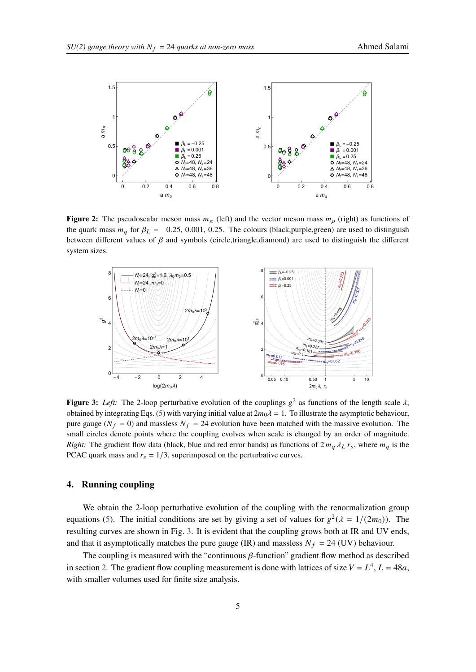<span id="page-4-0"></span>

**Figure 2:** The pseudoscalar meson mass  $m_\pi$  (left) and the vector meson mass  $m_\rho$  (right) as functions of the quark mass  $m_q$  for  $\beta_L = -0.25, 0.001, 0.25$ . The colours (black,purple,green) are used to distinguish between different values of  $\beta$  and symbols (circle,triangle,diamond) are used to distinguish the different system sizes.

<span id="page-4-1"></span>

**Figure 3:** Left: The 2-loop perturbative evolution of the couplings  $g^2$  as functions of the length scale  $\lambda$ , obtained by integrating Eqs. [\(5\)](#page-3-0) with varying initial value at  $2m_0\lambda = 1$ . To illustrate the asymptotic behaviour, pure gauge ( $N_f = 0$ ) and massless  $N_f = 24$  evolution have been matched with the massive evolution. The small circles denote points where the coupling evolves when scale is changed by an order of magnitude. *Right:* The gradient flow data (black, blue and red error bands) as functions of  $2 m<sub>q</sub> \lambda<sub>L</sub> r<sub>s</sub>$ , where  $m<sub>q</sub>$  is the PCAC quark mass and  $r_s = 1/3$ , superimposed on the perturbative curves.

# **4. Running coupling**

We obtain the 2-loop perturbative evolution of the coupling with the renormalization group equations [\(5\)](#page-3-0). The initial conditions are set by giving a set of values for  $g^2(\lambda = 1/(2m_0))$ . The resulting curves are shown in Fig. [3.](#page-4-1) It is evident that the coupling grows both at IR and UV ends, and that it asymptotically matches the pure gauge (IR) and massless  $N_f = 24$  (UV) behaviour.

The coupling is measured with the "continuous  $\beta$ -function" gradient flow method as described in section [2.](#page-1-0) The gradient flow coupling measurement is done with lattices of size  $V = L<sup>4</sup>$ ,  $L = 48a$ , with smaller volumes used for finite size analysis.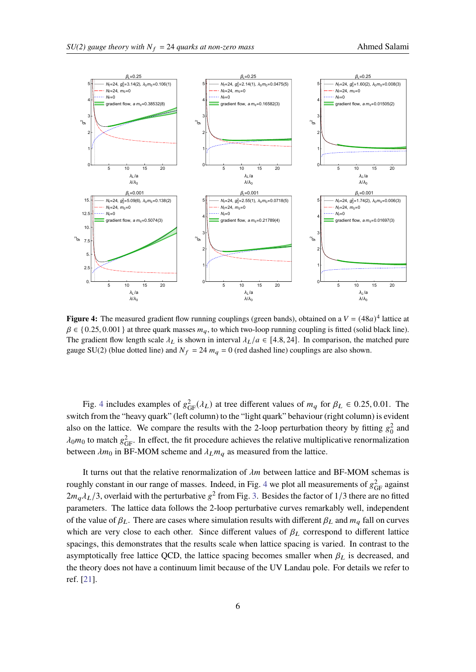<span id="page-5-0"></span>

**Figure 4:** The measured gradient flow running couplings (green bands), obtained on a  $V = (48a)^4$  lattice at  $\beta \in \{0.25, 0.001\}$  at three quark masses  $m_q$ , to which two-loop running coupling is fitted (solid black line). The gradient flow length scale  $\lambda_L$  is shown in interval  $\lambda_L/a \in [4.8, 24]$ . In comparison, the matched pure gauge SU(2) (blue dotted line) and  $N_f = 24$   $m_q = 0$  (red dashed line) couplings are also shown.

Fig. [4](#page-5-0) includes examples of  $g_{GF}^2(\lambda_L)$  at tree different values of  $m_q$  for  $\beta_L \in 0.25, 0.01$ . The switch from the "heavy quark" (left column) to the "light quark" behaviour (right column) is evident also on the lattice. We compare the results with the 2-loop perturbation theory by fitting  $g_0^2$  and  $\lambda_0 m_0$  to match  $g_{GF}^2$ . In effect, the fit procedure achieves the relative multiplicative renormalization between  $\lambda m_0$  in BF-MOM scheme and  $\lambda_L m_a$  as measured from the lattice.

It turns out that the relative renormalization of  $\lambda m$  between lattice and BF-MOM schemas is roughly constant in our range of masses. Indeed, in Fig. [4](#page-5-0) we plot all measurements of  $g_{GF}^2$  against  $2m_q\lambda_L/3$ , overlaid with the perturbative  $g^2$  from Fig. [3.](#page-4-1) Besides the factor of 1/3 there are no fitted parameters. The lattice data follows the 2-loop perturbative curves remarkably well, independent of the value of  $\beta_L$ . There are cases where simulation results with different  $\beta_L$  and  $m_q$  fall on curves which are very close to each other. Since different values of  $\beta_L$  correspond to different lattice spacings, this demonstrates that the results scale when lattice spacing is varied. In contrast to the asymptotically free lattice QCD, the lattice spacing becomes smaller when  $\beta_L$  is decreased, and the theory does not have a continuum limit because of the UV Landau pole. For details we refer to ref. [\[21\]](#page-7-4).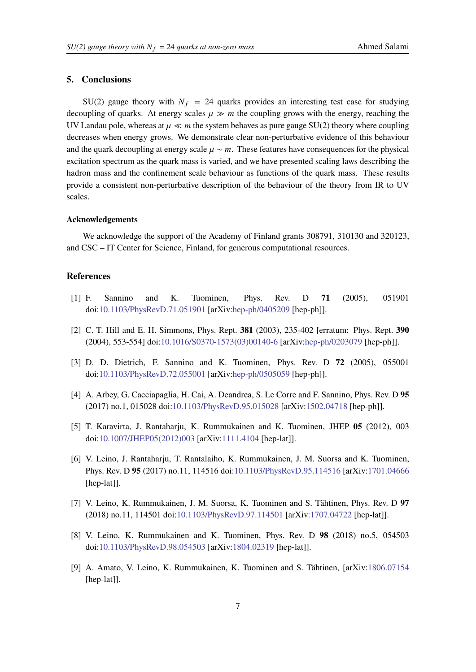### **5. Conclusions**

 $SU(2)$  gauge theory with  $N_f = 24$  quarks provides an interesting test case for studying decoupling of quarks. At energy scales  $\mu \gg m$  the coupling grows with the energy, reaching the UV Landau pole, whereas at  $\mu \ll m$  the system behaves as pure gauge SU(2) theory where coupling decreases when energy grows. We demonstrate clear non-perturbative evidence of this behaviour and the quark decoupling at energy scale  $\mu \sim m$ . These features have consequences for the physical excitation spectrum as the quark mass is varied, and we have presented scaling laws describing the hadron mass and the confinement scale behaviour as functions of the quark mass. These results provide a consistent non-perturbative description of the behaviour of the theory from IR to UV scales.

#### **Acknowledgements**

We acknowledge the support of the Academy of Finland grants 308791, 310130 and 320123, and CSC – IT Center for Science, Finland, for generous computational resources.

## **References**

- <span id="page-6-0"></span>[1] F. Sannino and K. Tuominen, Phys. Rev. D **71** (2005), 051901 doi[:10.1103/PhysRevD.71.051901](https://doi.org/10.1103/PhysRevD.71.051901) [arXiv[:hep-ph/0405209](https://arxiv.org/abs/hep-ph/0405209) [hep-ph]].
- [2] C. T. Hill and E. H. Simmons, Phys. Rept. **381** (2003), 235-402 [erratum: Phys. Rept. **390** (2004), 553-554] doi[:10.1016/S0370-1573\(03\)00140-6](https://doi.org/10.1016/S0370-1573(03)00140-6) [arXiv[:hep-ph/0203079](https://arxiv.org/abs/hep-ph/0203079) [hep-ph]].
- [3] D. D. Dietrich, F. Sannino and K. Tuominen, Phys. Rev. D **72** (2005), 055001 doi[:10.1103/PhysRevD.72.055001](https://doi.org/10.1103/PhysRevD.72.055001) [arXiv[:hep-ph/0505059](https://arxiv.org/abs/hep-ph/0505059) [hep-ph]].
- <span id="page-6-1"></span>[4] A. Arbey, G. Cacciapaglia, H. Cai, A. Deandrea, S. Le Corre and F. Sannino, Phys. Rev. D **95** (2017) no.1, 015028 doi[:10.1103/PhysRevD.95.015028](https://doi.org/10.1103/PhysRevD.95.015028) [arXiv[:1502.04718](https://arxiv.org/abs/1502.04718) [hep-ph]].
- <span id="page-6-2"></span>[5] T. Karavirta, J. Rantaharju, K. Rummukainen and K. Tuominen, JHEP **05** (2012), 003 doi[:10.1007/JHEP05\(2012\)003](https://doi.org/10.1007/JHEP05(2012)003) [arXiv[:1111.4104](https://arxiv.org/abs/1111.4104) [hep-lat]].
- [6] V. Leino, J. Rantaharju, T. Rantalaiho, K. Rummukainen, J. M. Suorsa and K. Tuominen, Phys. Rev. D **95** (2017) no.11, 114516 doi[:10.1103/PhysRevD.95.114516](https://doi.org/10.1103/PhysRevD.95.114516) [arXiv[:1701.04666](https://arxiv.org/abs/1701.04666) [hep-lat]].
- [7] V. Leino, K. Rummukainen, J. M. Suorsa, K. Tuominen and S. Tähtinen, Phys. Rev. D **97** (2018) no.11, 114501 doi[:10.1103/PhysRevD.97.114501](https://doi.org/10.1103/PhysRevD.97.114501) [arXiv[:1707.04722](https://arxiv.org/abs/1707.04722) [hep-lat]].
- [8] V. Leino, K. Rummukainen and K. Tuominen, Phys. Rev. D **98** (2018) no.5, 054503 doi[:10.1103/PhysRevD.98.054503](https://doi.org/10.1103/PhysRevD.98.054503) [arXiv[:1804.02319](https://arxiv.org/abs/1804.02319) [hep-lat]].
- <span id="page-6-3"></span>[9] A. Amato, V. Leino, K. Rummukainen, K. Tuominen and S. Tähtinen, [arXiv[:1806.07154](https://arxiv.org/abs/1806.07154) [hep-lat]].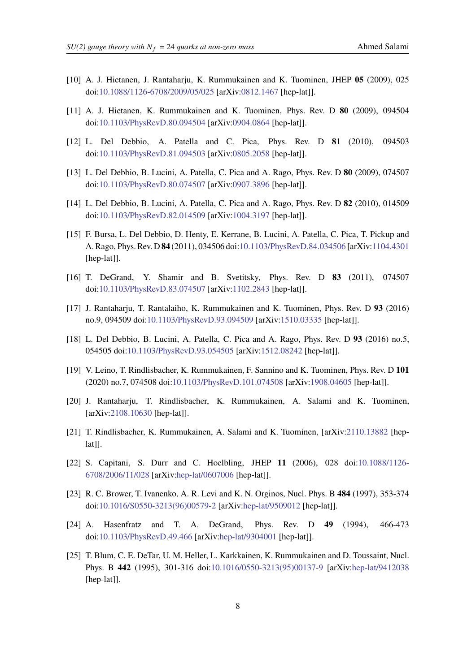- <span id="page-7-0"></span>[10] A. J. Hietanen, J. Rantaharju, K. Rummukainen and K. Tuominen, JHEP **05** (2009), 025 doi[:10.1088/1126-6708/2009/05/025](https://doi.org/10.1088/1126-6708/2009/05/025) [arXiv[:0812.1467](https://arxiv.org/abs/0812.1467) [hep-lat]].
- [11] A. J. Hietanen, K. Rummukainen and K. Tuominen, Phys. Rev. D **80** (2009), 094504 doi[:10.1103/PhysRevD.80.094504](https://doi.org/10.1103/PhysRevD.80.094504) [arXiv[:0904.0864](https://arxiv.org/abs/0904.0864) [hep-lat]].
- [12] L. Del Debbio, A. Patella and C. Pica, Phys. Rev. D **81** (2010), 094503 doi[:10.1103/PhysRevD.81.094503](https://doi.org/10.1103/PhysRevD.81.094503) [arXiv[:0805.2058](https://arxiv.org/abs/0805.2058) [hep-lat]].
- [13] L. Del Debbio, B. Lucini, A. Patella, C. Pica and A. Rago, Phys. Rev. D **80** (2009), 074507 doi[:10.1103/PhysRevD.80.074507](https://doi.org/10.1103/PhysRevD.80.074507) [arXiv[:0907.3896](https://arxiv.org/abs/0907.3896) [hep-lat]].
- [14] L. Del Debbio, B. Lucini, A. Patella, C. Pica and A. Rago, Phys. Rev. D **82** (2010), 014509 doi[:10.1103/PhysRevD.82.014509](https://doi.org/10.1103/PhysRevD.82.014509) [arXiv[:1004.3197](https://arxiv.org/abs/1004.3197) [hep-lat]].
- [15] F. Bursa, L. Del Debbio, D. Henty, E. Kerrane, B. Lucini, A. Patella, C. Pica, T. Pickup and A. Rago, Phys. Rev. D **84** (2011), 034506 doi[:10.1103/PhysRevD.84.034506](https://doi.org/10.1103/PhysRevD.84.034506) [arXiv[:1104.4301](https://arxiv.org/abs/1104.4301) [hep-lat]].
- [16] T. DeGrand, Y. Shamir and B. Svetitsky, Phys. Rev. D **83** (2011), 074507 doi[:10.1103/PhysRevD.83.074507](https://doi.org/10.1103/PhysRevD.83.074507) [arXiv[:1102.2843](https://arxiv.org/abs/1102.2843) [hep-lat]].
- <span id="page-7-6"></span>[17] J. Rantaharju, T. Rantalaiho, K. Rummukainen and K. Tuominen, Phys. Rev. D **93** (2016) no.9, 094509 doi[:10.1103/PhysRevD.93.094509](https://doi.org/10.1103/PhysRevD.93.094509) [arXiv[:1510.03335](https://arxiv.org/abs/1510.03335) [hep-lat]].
- <span id="page-7-1"></span>[18] L. Del Debbio, B. Lucini, A. Patella, C. Pica and A. Rago, Phys. Rev. D **93** (2016) no.5, 054505 doi[:10.1103/PhysRevD.93.054505](https://doi.org/10.1103/PhysRevD.93.054505) [arXiv[:1512.08242](https://arxiv.org/abs/1512.08242) [hep-lat]].
- <span id="page-7-2"></span>[19] V. Leino, T. Rindlisbacher, K. Rummukainen, F. Sannino and K. Tuominen, Phys. Rev. D **101** (2020) no.7, 074508 doi[:10.1103/PhysRevD.101.074508](https://doi.org/10.1103/PhysRevD.101.074508) [arXiv[:1908.04605](https://arxiv.org/abs/1908.04605) [hep-lat]].
- <span id="page-7-3"></span>[20] J. Rantaharju, T. Rindlisbacher, K. Rummukainen, A. Salami and K. Tuominen, [arXiv[:2108.10630](https://arxiv.org/abs/2108.10630) [hep-lat]].
- <span id="page-7-4"></span>[21] T. Rindlisbacher, K. Rummukainen, A. Salami and K. Tuominen, [arXiv[:2110.13882](https://arxiv.org/abs/2110.13882) [heplat]].
- <span id="page-7-5"></span>[22] S. Capitani, S. Durr and C. Hoelbling, JHEP **11** (2006), 028 doi[:10.1088/1126-](https://doi.org/10.1088/1126-6708/2006/11/028) [6708/2006/11/028](https://doi.org/10.1088/1126-6708/2006/11/028) [arXiv[:hep-lat/0607006](https://arxiv.org/abs/hep-lat/0607006) [hep-lat]].
- <span id="page-7-7"></span>[23] R. C. Brower, T. Ivanenko, A. R. Levi and K. N. Orginos, Nucl. Phys. B **484** (1997), 353-374 doi[:10.1016/S0550-3213\(96\)00579-2](https://doi.org/10.1016/S0550-3213(96)00579-2) [arXiv[:hep-lat/9509012](https://arxiv.org/abs/hep-lat/9509012) [hep-lat]].
- <span id="page-7-8"></span>[24] A. Hasenfratz and T. A. DeGrand, Phys. Rev. D **49** (1994), 466-473 doi[:10.1103/PhysRevD.49.466](https://doi.org/10.1103/PhysRevD.49.466) [arXiv[:hep-lat/9304001](https://arxiv.org/abs/hep-lat/9304001) [hep-lat]].
- <span id="page-7-9"></span>[25] T. Blum, C. E. DeTar, U. M. Heller, L. Karkkainen, K. Rummukainen and D. Toussaint, Nucl. Phys. B **442** (1995), 301-316 doi[:10.1016/0550-3213\(95\)00137-9](https://doi.org/10.1016/0550-3213(95)00137-9) [arXiv[:hep-lat/9412038](https://arxiv.org/abs/hep-lat/9412038) [hep-lat]].